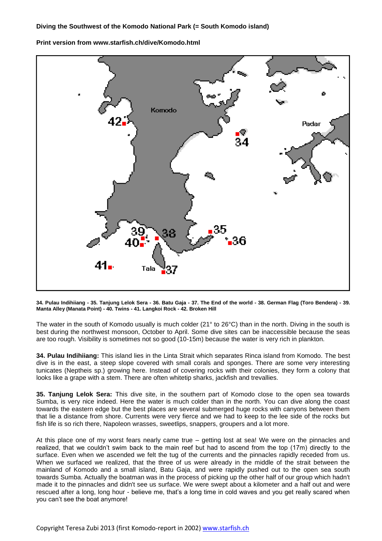## **Diving the Southwest of the Komodo National Park (= South Komodo island)**

**Print version from www.starfish.ch/dive/Komodo.html**



**34. Pulau Indihiiang - 35. Tanjung Lelok Sera - 36. Batu Gaja - 37. The End of the world - 38. German Flag (Toro Bendera) - 39. Manta Alley (Manata Point) - 40. Twins - 41. Langkoi Rock - 42. Broken Hill** 

The water in the south of Komodo usually is much colder (21° to 26°C) than in the north. Diving in the south is best during the northwest monsoon, October to April. Some dive sites can be inaccessible because the seas are too rough. Visibility is sometimes not so good (10-15m) because the water is very rich in plankton.

**34. Pulau Indihiiang:** This island lies in the Linta Strait which separates Rinca island from Komodo. The best dive is in the east, a steep slope covered with small corals and sponges. There are some very interesting tunicates (Neptheis sp.) growing here. Instead of covering rocks with their colonies, they form a colony that looks like a grape with a stem. There are often whitetip sharks, jackfish and trevallies.

**35. Tanjung Lelok Sera:** This dive site, in the southern part of Komodo close to the open sea towards Sumba, is very nice indeed. Here the water is much colder than in the north. You can dive along the coast towards the eastern edge but the best places are several submerged huge rocks with canyons between them that lie a distance from shore. Currents were very fierce and we had to keep to the lee side of the rocks but fish life is so rich there, Napoleon wrasses, sweetlips, snappers, groupers and a lot more.

At this place one of my worst fears nearly came true – getting lost at sea! We were on the pinnacles and realized, that we couldn't swim back to the main reef but had to ascend from the top (17m) directly to the surface. Even when we ascended we felt the tug of the currents and the pinnacles rapidly receded from us. When we surfaced we realized, that the three of us were already in the middle of the strait between the mainland of Komodo and a small island, Batu Gaja, and were rapidly pushed out to the open sea south towards Sumba. Actually the boatman was in the process of picking up the other half of our group which hadn't made it to the pinnacles and didn't see us surface. We were swept about a kilometer and a half out and were rescued after a long, long hour - believe me, that's a long time in cold waves and you get really scared when you can't see the boat anymore!